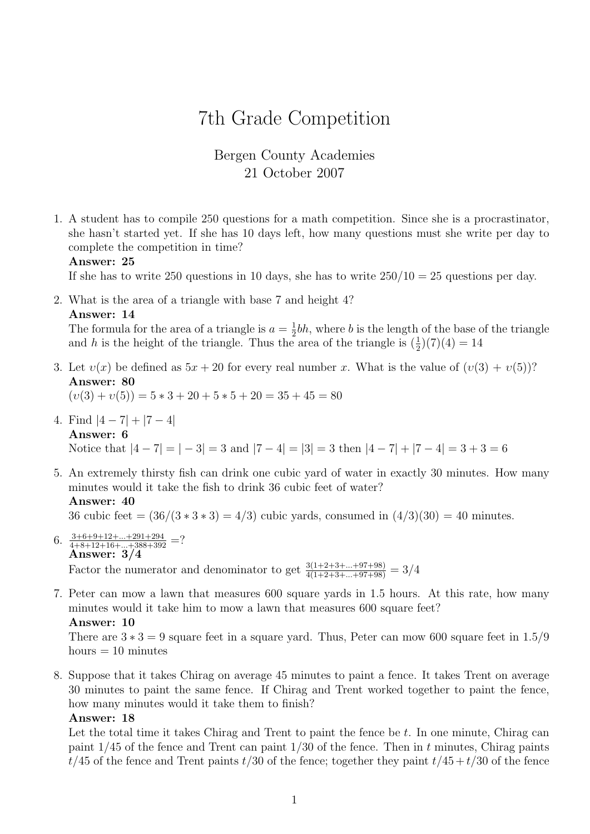# 7th Grade Competition

# Bergen County Academies 21 October 2007

1. A student has to compile 250 questions for a math competition. Since she is a procrastinator, she hasn't started yet. If she has 10 days left, how many questions must she write per day to complete the competition in time?

#### Answer: 25

If she has to write 250 questions in 10 days, she has to write  $250/10 = 25$  questions per day.

2. What is the area of a triangle with base 7 and height 4? Answer: 14

The formula for the area of a triangle is  $a = \frac{1}{2}$  $\frac{1}{2}bh$ , where b is the length of the base of the triangle and h is the height of the triangle. Thus the area of the triangle is  $(\frac{1}{2})(7)(4) = 14$ 

3. Let  $v(x)$  be defined as  $5x + 20$  for every real number x. What is the value of  $(v(3) + v(5))$ ? Answer: 80

 $(v(3) + v(5)) = 5 * 3 + 20 + 5 * 5 + 20 = 35 + 45 = 80$ 

- 4. Find  $|4-7|+|7-4|$ Answer: 6 Notice that  $|4 - 7| = |-3| = 3$  and  $|7 - 4| = |3| = 3$  then  $|4 - 7| + |7 - 4| = 3 + 3 = 6$
- 5. An extremely thirsty fish can drink one cubic yard of water in exactly 30 minutes. How many minutes would it take the fish to drink 36 cubic feet of water? Answer: 40

36 cubic feet =  $(36/(3*3*3) = 4/3)$  cubic yards, consumed in  $(4/3)(30) = 40$  minutes.

- 6.  $\frac{3+6+9+12+\ldots+291+294}{4+8+12+16+\ldots+388+392}$  =? Answer: 3/4 Factor the numerator and denominator to get  $\frac{3(1+2+3+\dots+97+98)}{4(1+2+3+\dots+97+98)} = 3/4$
- 7. Peter can mow a lawn that measures 600 square yards in 1.5 hours. At this rate, how many minutes would it take him to mow a lawn that measures 600 square feet? Answer: 10

There are  $3 * 3 = 9$  square feet in a square yard. Thus, Peter can mow 600 square feet in 1.5/9 hours  $= 10$  minutes

8. Suppose that it takes Chirag on average 45 minutes to paint a fence. It takes Trent on average 30 minutes to paint the same fence. If Chirag and Trent worked together to paint the fence, how many minutes would it take them to finish?

### Answer: 18

Let the total time it takes Chirag and Trent to paint the fence be t. In one minute, Chirag can paint  $1/45$  of the fence and Trent can paint  $1/30$  of the fence. Then in t minutes, Chirag paints  $t/45$  of the fence and Trent paints  $t/30$  of the fence; together they paint  $t/45 + t/30$  of the fence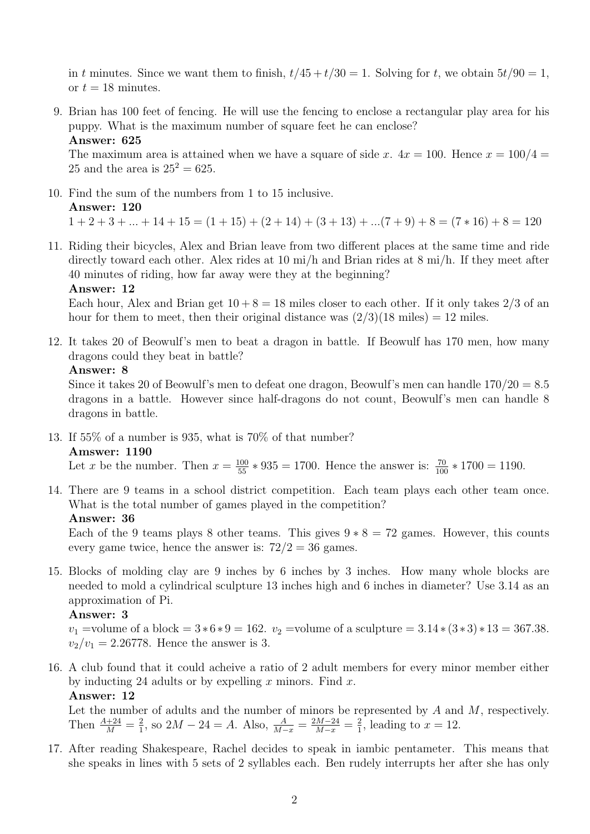in t minutes. Since we want them to finish,  $t/45 + t/30 = 1$ . Solving for t, we obtain  $5t/90 = 1$ , or  $t = 18$  minutes.

9. Brian has 100 feet of fencing. He will use the fencing to enclose a rectangular play area for his puppy. What is the maximum number of square feet he can enclose? Answer: 625

The maximum area is attained when we have a square of side x.  $4x = 100$ . Hence  $x = 100/4$ 25 and the area is  $25^2 = 625$ .

- 10. Find the sum of the numbers from 1 to 15 inclusive. Answer: 120  $1 + 2 + 3 + \ldots + 14 + 15 = (1 + 15) + (2 + 14) + (3 + 13) + \ldots (7 + 9) + 8 = (7 * 16) + 8 = 120$
- 11. Riding their bicycles, Alex and Brian leave from two different places at the same time and ride directly toward each other. Alex rides at 10 mi/h and Brian rides at 8 mi/h. If they meet after 40 minutes of riding, how far away were they at the beginning?

## Answer: 12

Each hour, Alex and Brian get  $10 + 8 = 18$  miles closer to each other. If it only takes 2/3 of an hour for them to meet, then their original distance was  $(2/3)(18 \text{ miles}) = 12 \text{ miles}$ .

12. It takes 20 of Beowulf's men to beat a dragon in battle. If Beowulf has 170 men, how many dragons could they beat in battle?

### Answer: 8

Since it takes 20 of Beowulf's men to defeat one dragon, Beowulf's men can handle  $170/20 = 8.5$ dragons in a battle. However since half-dragons do not count, Beowulf's men can handle 8 dragons in battle.

13. If 55% of a number is 935, what is 70% of that number? Amswer: 1190

Let x be the number. Then  $x = \frac{100}{55} * 935 = 1700$ . Hence the answer is:  $\frac{70}{100} * 1700 = 1190$ .

14. There are 9 teams in a school district competition. Each team plays each other team once. What is the total number of games played in the competition?

### Answer: 36

Each of the 9 teams plays 8 other teams. This gives  $9 * 8 = 72$  games. However, this counts every game twice, hence the answer is:  $72/2 = 36$  games.

15. Blocks of molding clay are 9 inches by 6 inches by 3 inches. How many whole blocks are needed to mold a cylindrical sculpture 13 inches high and 6 inches in diameter? Use 3.14 as an approximation of Pi.

### Answer: 3

 $v_1$  =volume of a block = 3 \* 6 \* 9 = 162.  $v_2$  =volume of a sculpture = 3.14 \* (3 \* 3) \* 13 = 367.38.  $v_2/v_1 = 2.26778$ . Hence the answer is 3.

16. A club found that it could acheive a ratio of 2 adult members for every minor member either by inducting 24 adults or by expelling x minors. Find x. Answer: 12

Let the number of adults and the number of minors be represented by  $A$  and  $M$ , respectively. Then  $\frac{A+24}{M} = \frac{2}{1}$  $\frac{2}{1}$ , so  $2M - 24 = A$ . Also,  $\frac{A}{M-x} = \frac{2M-24}{M-x} = \frac{2}{1}$  $\frac{2}{1}$ , leading to  $x = 12$ .

17. After reading Shakespeare, Rachel decides to speak in iambic pentameter. This means that she speaks in lines with 5 sets of 2 syllables each. Ben rudely interrupts her after she has only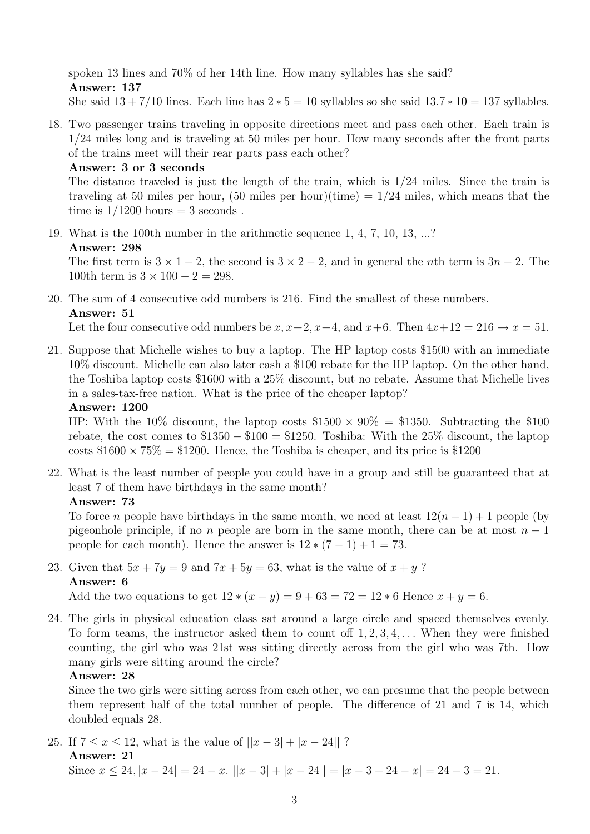spoken 13 lines and 70% of her 14th line. How many syllables has she said? Answer: 137 She said  $13 + 7/10$  lines. Each line has  $2 * 5 = 10$  syllables so she said  $13.7 * 10 = 137$  syllables.

18. Two passenger trains traveling in opposite directions meet and pass each other. Each train is 1/24 miles long and is traveling at 50 miles per hour. How many seconds after the front parts of the trains meet will their rear parts pass each other?

Answer: 3 or 3 seconds

The distance traveled is just the length of the train, which is 1/24 miles. Since the train is traveling at 50 miles per hour,  $(50 \text{ miles per hour})(time) = 1/24 \text{ miles},$  which means that the time is  $1/1200$  hours = 3 seconds.

19. What is the 100th number in the arithmetic sequence 1, 4, 7, 10, 13, ...? Answer: 298 The first term is  $3 \times 1 - 2$ , the second is  $3 \times 2 - 2$ , and in general the *n*th term is  $3n - 2$ . The

100th term is  $3 \times 100 - 2 = 298$ .

20. The sum of 4 consecutive odd numbers is 216. Find the smallest of these numbers. Answer: 51

Let the four consecutive odd numbers be  $x, x+2, x+4$ , and  $x+6$ . Then  $4x+12 = 216 \rightarrow x = 51$ .

21. Suppose that Michelle wishes to buy a laptop. The HP laptop costs \$1500 with an immediate 10% discount. Michelle can also later cash a \$100 rebate for the HP laptop. On the other hand, the Toshiba laptop costs \$1600 with a 25% discount, but no rebate. Assume that Michelle lives in a sales-tax-free nation. What is the price of the cheaper laptop?

### Answer: 1200

HP: With the 10% discount, the laptop costs  $$1500 \times 90\% = $1350$ . Subtracting the \$100 rebate, the cost comes to  $$1350 - $100 = $1250$ . Toshiba: With the 25% discount, the laptop costs  $$1600 \times 75\% = $1200$ . Hence, the Toshiba is cheaper, and its price is \$1200

22. What is the least number of people you could have in a group and still be guaranteed that at least 7 of them have birthdays in the same month?

# Answer: 73

To force *n* people have birthdays in the same month, we need at least  $12(n - 1) + 1$  people (by pigeonhole principle, if no n people are born in the same month, there can be at most  $n-1$ people for each month). Hence the answer is  $12*(7-1)+1=73$ .

# 23. Given that  $5x + 7y = 9$  and  $7x + 5y = 63$ , what is the value of  $x + y$ ? Answer: 6

Add the two equations to get  $12 * (x + y) = 9 + 63 = 72 = 12 * 6$  Hence  $x + y = 6$ .

24. The girls in physical education class sat around a large circle and spaced themselves evenly. To form teams, the instructor asked them to count off  $1, 2, 3, 4, \ldots$  When they were finished counting, the girl who was 21st was sitting directly across from the girl who was 7th. How many girls were sitting around the circle?

# Answer: 28

Since the two girls were sitting across from each other, we can presume that the people between them represent half of the total number of people. The difference of 21 and 7 is 14, which doubled equals 28.

25. If  $7 \le x \le 12$ , what is the value of  $||x-3| + |x-24||$ ? Answer: 21 Since  $x \le 24$ ,  $|x - 24| = 24 - x$ .  $||x - 3| + |x - 24|| = |x - 3 + 24 - x| = 24 - 3 = 21$ .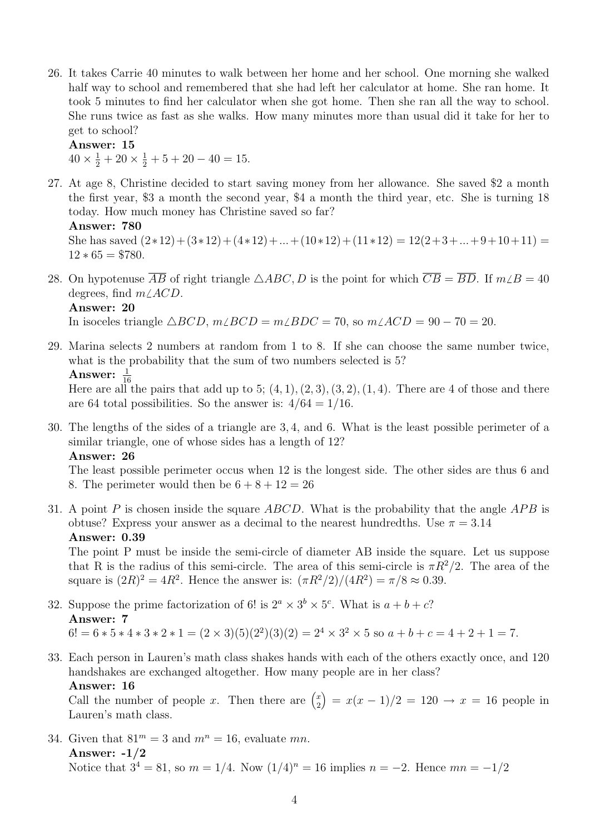26. It takes Carrie 40 minutes to walk between her home and her school. One morning she walked half way to school and remembered that she had left her calculator at home. She ran home. It took 5 minutes to find her calculator when she got home. Then she ran all the way to school. She runs twice as fast as she walks. How many minutes more than usual did it take for her to get to school?

Answer: 15

 $40 \times \frac{1}{2} + 20 \times \frac{1}{2} + 5 + 20 - 40 = 15.$ 

27. At age 8, Christine decided to start saving money from her allowance. She saved \$2 a month the first year, \$3 a month the second year, \$4 a month the third year, etc. She is turning 18 today. How much money has Christine saved so far?

```
Answer: 780
```
She has saved  $(2*12)+(3*12)+(4*12)+...+(10*12)+(11*12)=12(2+3+...+9+10+11)=$  $12 * 65 = $780.$ 

- 28. On hypotenuse  $\overline{AB}$  of right triangle  $\triangle ABC$ , D is the point for which  $\overline{CB} = \overline{BD}$ . If  $m \angle B = 40$ degrees, find  $m\angle ACD$ . Answer: 20 In isoceles triangle  $\triangle BCD$ ,  $m\angle BCD = m\angle BDC = 70$ , so  $m\angle ACD = 90 - 70 = 20$ .
- 29. Marina selects 2 numbers at random from 1 to 8. If she can choose the same number twice, what is the probability that the sum of two numbers selected is 5?

Answer:  $\frac{1}{16}$ 

Here are all the pairs that add up to 5;  $(4, 1), (2, 3), (3, 2), (1, 4)$ . There are 4 of those and there are 64 total possibilities. So the answer is:  $4/64 = 1/16$ .

30. The lengths of the sides of a triangle are 3, 4, and 6. What is the least possible perimeter of a similar triangle, one of whose sides has a length of 12? Answer: 26

The least possible perimeter occus when 12 is the longest side. The other sides are thus 6 and 8. The perimeter would then be  $6 + 8 + 12 = 26$ 

31. A point P is chosen inside the square ABCD. What is the probability that the angle APB is obtuse? Express your answer as a decimal to the nearest hundredths. Use  $\pi = 3.14$ Answer: 0.39

The point P must be inside the semi-circle of diameter AB inside the square. Let us suppose that R is the radius of this semi-circle. The area of this semi-circle is  $\pi R^2/2$ . The area of the square is  $(2R)^2 = 4R^2$ . Hence the answer is:  $(\pi R^2/2)/(4R^2) = \pi/8 \approx 0.39$ .

- 32. Suppose the prime factorization of 6! is  $2^a \times 3^b \times 5^c$ . What is  $a+b+c$ ? Answer: 7  $6! = 6*5*4*3*2*1 = (2 \times 3)(5)(2^2)(3)(2) = 2^4 \times 3^2 \times 5$  so  $a+b+c=4+2+1=7$ .
- 33. Each person in Lauren's math class shakes hands with each of the others exactly once, and 120 handshakes are exchanged altogether. How many people are in her class? Answer: 16

Call the number of people x. Then there are  $\binom{x}{2}$ 2  $= x(x - 1)/2 = 120 \rightarrow x = 16$  people in Lauren's math class.

34. Given that  $81^m = 3$  and  $m^n = 16$ , evaluate mn. Answer: -1/2 Notice that  $3^4 = 81$ , so  $m = 1/4$ . Now  $(1/4)^n = 16$  implies  $n = -2$ . Hence  $mn = -1/2$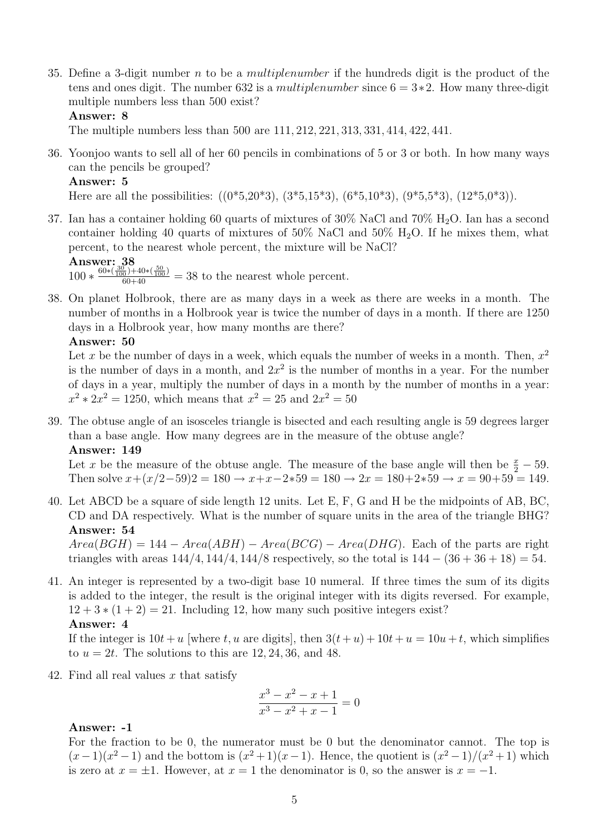35. Define a 3-digit number n to be a *multiplenumber* if the hundreds digit is the product of the tens and ones digit. The number 632 is a *multiplenumber* since  $6 = 3*2$ . How many three-digit multiple numbers less than 500 exist?

### Answer: 8

The multiple numbers less than 500 are 111, 212, 221, 313, 331, 414, 422, 441.

36. Yoonjoo wants to sell all of her 60 pencils in combinations of 5 or 3 or both. In how many ways can the pencils be grouped?

#### Answer: 5

Here are all the possibilities:  $((0<sup>*</sup>5,20<sup>*</sup>3), (3<sup>*</sup>5,15<sup>*</sup>3), (6<sup>*</sup>5,10<sup>*</sup>3), (9<sup>*</sup>5,5<sup>*</sup>3), (12<sup>*</sup>5,0<sup>*</sup>3)).$ 

37. Ian has a container holding 60 quarts of mixtures of 30% NaCl and 70% H2O. Ian has a second container holding 40 quarts of mixtures of  $50\%$  NaCl and  $50\%$  H<sub>2</sub>O. If he mixes them, what percent, to the nearest whole percent, the mixture will be NaCl? Answer: 38

 $\frac{100 \times \frac{30}{60 * (\frac{30}{100}) + 40 * (\frac{50}{100})}}{60 + 40}$  = 38 to the nearest whole percent.

38. On planet Holbrook, there are as many days in a week as there are weeks in a month. The number of months in a Holbrook year is twice the number of days in a month. If there are 1250 days in a Holbrook year, how many months are there?

### Answer: 50

Let x be the number of days in a week, which equals the number of weeks in a month. Then,  $x^2$ is the number of days in a month, and  $2x^2$  is the number of months in a year. For the number of days in a year, multiply the number of days in a month by the number of months in a year:  $x^2 * 2x^2 = 1250$ , which means that  $x^2 = 25$  and  $2x^2 = 50$ 

39. The obtuse angle of an isosceles triangle is bisected and each resulting angle is 59 degrees larger than a base angle. How many degrees are in the measure of the obtuse angle? Answer: 149

Let x be the measure of the obtuse angle. The measure of the base angle will then be  $\frac{x}{2} - 59$ . Then solve  $x+(x/2-59)2 = 180 \rightarrow x+x-2*59 = 180 \rightarrow 2x = 180+2*59 \rightarrow x = 90+59 = 149.$ 

40. Let ABCD be a square of side length 12 units. Let E, F, G and H be the midpoints of AB, BC, CD and DA respectively. What is the number of square units in the area of the triangle BHG? Answer: 54

 $Area(BGH) = 144 - Area(ABH) - Area(BCG) - Area(DHG)$ . Each of the parts are right triangles with areas  $144/4$ ,  $144/4$ ,  $144/8$  respectively, so the total is  $144 - (36 + 36 + 18) = 54$ .

41. An integer is represented by a two-digit base 10 numeral. If three times the sum of its digits is added to the integer, the result is the original integer with its digits reversed. For example,  $12 + 3 * (1 + 2) = 21$ . Including 12, how many such positive integers exist? Answer: 4

If the integer is  $10t + u$  [where t, u are digits], then  $3(t+u) + 10t + u = 10u + t$ , which simplifies to  $u = 2t$ . The solutions to this are 12, 24, 36, and 48.

42. Find all real values x that satisfy

$$
\frac{x^3 - x^2 - x + 1}{x^3 - x^2 + x - 1} = 0
$$

### Answer: -1

For the fraction to be 0, the numerator must be 0 but the denominator cannot. The top is  $(x-1)(x^2-1)$  and the bottom is  $(x^2+1)(x-1)$ . Hence, the quotient is  $(x^2-1)/(x^2+1)$  which is zero at  $x = \pm 1$ . However, at  $x = 1$  the denominator is 0, so the answer is  $x = -1$ .